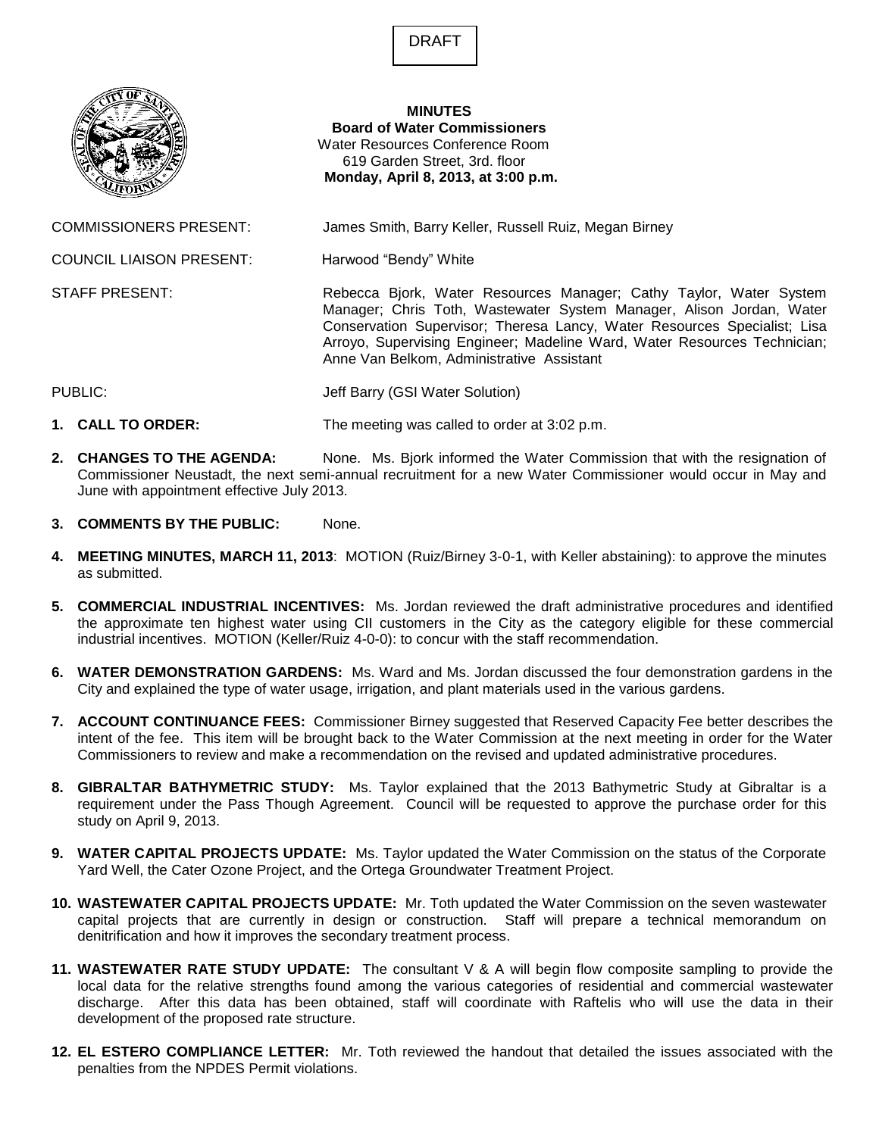DRAFT



## **MINUTES Board of Water Commissioners** Water Resources Conference Room 619 Garden Street, 3rd. floor **Monday, April 8, 2013, at 3:00 p.m.**

COMMISSIONERS PRESENT: James Smith, Barry Keller, Russell Ruiz, Megan Birney

COUNCIL LIAISON PRESENT: Harwood "Bendy" White

STAFF PRESENT: **Rebecca Bjork, Water Resources Manager**; Cathy Taylor, Water System Manager; Chris Toth, Wastewater System Manager, Alison Jordan, Water Conservation Supervisor; Theresa Lancy, Water Resources Specialist; Lisa Arroyo, Supervising Engineer; Madeline Ward, Water Resources Technician; Anne Van Belkom, Administrative Assistant

PUBLIC: Jeff Barry (GSI Water Solution)

- **1. CALL TO ORDER:** The meeting was called to order at 3:02 p.m.
- **2. CHANGES TO THE AGENDA:** None. Ms. Bjork informed the Water Commission that with the resignation of Commissioner Neustadt, the next semi-annual recruitment for a new Water Commissioner would occur in May and June with appointment effective July 2013.
- **3. COMMENTS BY THE PUBLIC:** None.
- **4. MEETING MINUTES, MARCH 11, 2013**: MOTION (Ruiz/Birney 3-0-1, with Keller abstaining): to approve the minutes as submitted.
- **5. COMMERCIAL INDUSTRIAL INCENTIVES:** Ms. Jordan reviewed the draft administrative procedures and identified the approximate ten highest water using CII customers in the City as the category eligible for these commercial industrial incentives. MOTION (Keller/Ruiz 4-0-0): to concur with the staff recommendation.
- **6. WATER DEMONSTRATION GARDENS:** Ms. Ward and Ms. Jordan discussed the four demonstration gardens in the City and explained the type of water usage, irrigation, and plant materials used in the various gardens.
- **7. ACCOUNT CONTINUANCE FEES:** Commissioner Birney suggested that Reserved Capacity Fee better describes the intent of the fee. This item will be brought back to the Water Commission at the next meeting in order for the Water Commissioners to review and make a recommendation on the revised and updated administrative procedures.
- **8. GIBRALTAR BATHYMETRIC STUDY:** Ms. Taylor explained that the 2013 Bathymetric Study at Gibraltar is a requirement under the Pass Though Agreement. Council will be requested to approve the purchase order for this study on April 9, 2013.
- **9. WATER CAPITAL PROJECTS UPDATE:** Ms. Taylor updated the Water Commission on the status of the Corporate Yard Well, the Cater Ozone Project, and the Ortega Groundwater Treatment Project.
- **10. WASTEWATER CAPITAL PROJECTS UPDATE:** Mr. Toth updated the Water Commission on the seven wastewater capital projects that are currently in design or construction. Staff will prepare a technical memorandum on denitrification and how it improves the secondary treatment process.
- **11. WASTEWATER RATE STUDY UPDATE:** The consultant V & A will begin flow composite sampling to provide the local data for the relative strengths found among the various categories of residential and commercial wastewater discharge. After this data has been obtained, staff will coordinate with Raftelis who will use the data in their development of the proposed rate structure.
- **12. EL ESTERO COMPLIANCE LETTER:** Mr. Toth reviewed the handout that detailed the issues associated with the penalties from the NPDES Permit violations.